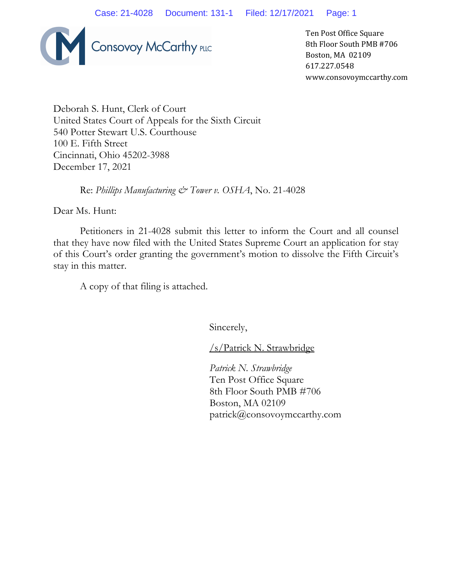

Ten Post Office Square 8th Floor South PMB #706 Boston, MA 02109 617.227.0548 www.consovoymccarthy.com

Deborah S. Hunt, Clerk of Court United States Court of Appeals for the Sixth Circuit 540 Potter Stewart U.S. Courthouse 100 E. Fifth Street Cincinnati, Ohio 45202-3988 December 17, 2021

Re: *Phillips Manufacturing & Tower v. OSHA*, No. 21-4028

Dear Ms. Hunt:

Petitioners in 21-4028 submit this letter to inform the Court and all counsel that they have now filed with the United States Supreme Court an application for stay of this Court's order granting the government's motion to dissolve the Fifth Circuit's stay in this matter.

A copy of that filing is attached.

Sincerely,

/s/Patrick N. Strawbridge

*Patrick N. Strawbridge* Ten Post Office Square 8th Floor South PMB #706 Boston, MA 02109 patrick@consovoymccarthy.com